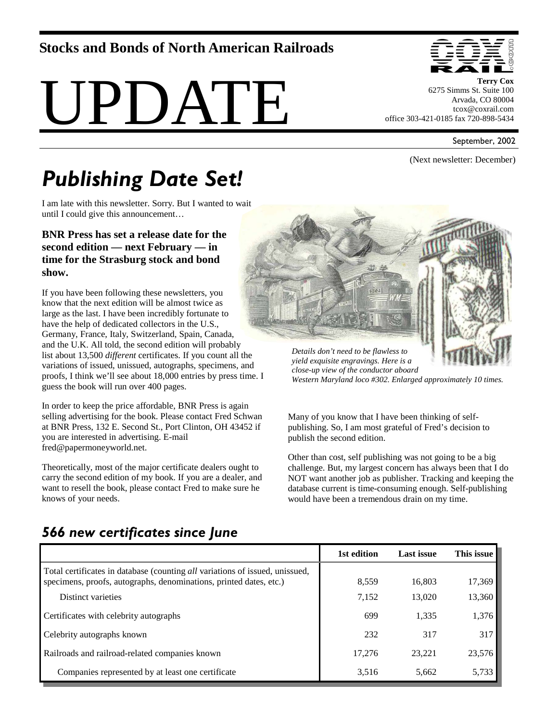#### **Stocks and Bonds of North American Railroads**





**Terry Cox**  6275 Simms St. Suite 100 Arvada, CO 80004 tcox@coxrail.com office 303-421-0185 fax 720-898-5434

September, 2002

(Next newsletter: December)

# *Publishing Date Set!*

I am late with this newsletter. Sorry. But I wanted to wait until I could give this announcement…

#### **BNR Press has set a release date for the second edition — next February — in time for the Strasburg stock and bond show.**

If you have been following these newsletters, you know that the next edition will be almost twice as large as the last. I have been incredibly fortunate to have the help of dedicated collectors in the U.S., Germany, France, Italy, Switzerland, Spain, Canada, and the U.K. All told, the second edition will probably list about 13,500 *different* certificates. If you count all the variations of issued, unissued, autographs, specimens, and proofs, I think we'll see about 18,000 entries by press time. I guess the book will run over 400 pages.

In order to keep the price affordable, BNR Press is again selling advertising for the book. Please contact Fred Schwan at BNR Press, 132 E. Second St., Port Clinton, OH 43452 if you are interested in advertising. E-mail fred@papermoneyworld.net.

Theoretically, most of the major certificate dealers ought to carry the second edition of my book. If you are a dealer, and want to resell the book, please contact Fred to make sure he knows of your needs.



*yield exquisite engravings. Here is a close-up view of the conductor aboard Western Maryland loco #302. Enlarged approximately 10 times.* 

Many of you know that I have been thinking of selfpublishing. So, I am most grateful of Fred's decision to publish the second edition.

Other than cost, self publishing was not going to be a big challenge. But, my largest concern has always been that I do NOT want another job as publisher. Tracking and keeping the database current is time-consuming enough. Self-publishing would have been a tremendous drain on my time.

|                                                                                                                                                    | 1st edition | <b>Last issue</b> | This issue |
|----------------------------------------------------------------------------------------------------------------------------------------------------|-------------|-------------------|------------|
| Total certificates in database (counting all variations of issued, unissued,<br>specimens, proofs, autographs, denominations, printed dates, etc.) | 8,559       | 16,803            | 17,369     |
| Distinct varieties                                                                                                                                 | 7,152       | 13,020            | 13,360     |
| Certificates with celebrity autographs                                                                                                             | 699         | 1,335             | 1,376      |
| Celebrity autographs known                                                                                                                         | 232         | 317               | 317        |
| Railroads and railroad-related companies known                                                                                                     | 17,276      | 23,221            | 23,576     |
| Companies represented by at least one certificate                                                                                                  | 3,516       | 5,662             | 5,733      |

## *566 new certificates since June*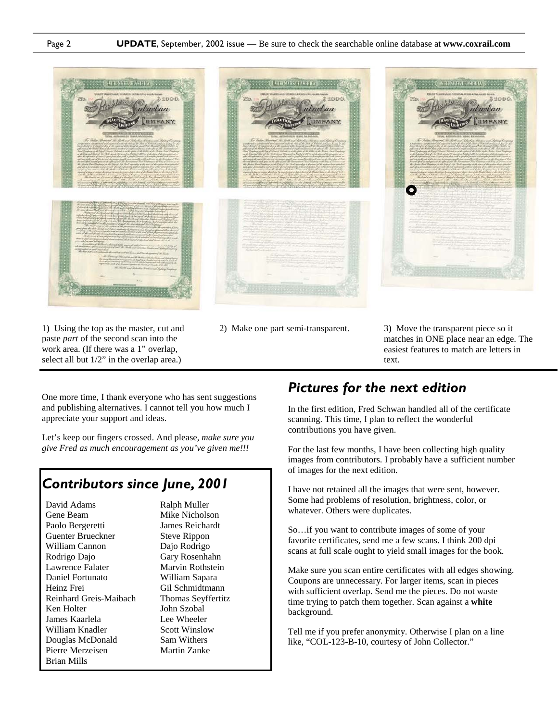

1) Using the top as the master, cut and paste *part* of the second scan into the

2) Make one part semi-transparent. 3) Move the transparent piece so it matches in ONE place near an edge. The easiest features to match are letters in text.

One more time, I thank everyone who has sent suggestions and publishing alternatives. I cannot tell you how much I appreciate your support and ideas.

work area. (If there was a 1" overlap, select all but 1/2" in the overlap area.)

Let's keep our fingers crossed. And please, *make sure you give Fred as much encouragement as you've given me!!!* 

#### *Contributors since June, 2001*

David Adams Gene Beam Paolo Bergeretti Guenter Brueckner William Cannon Rodrigo Dajo Lawrence Falater Daniel Fortunato Heinz Frei Reinhard Greis-Maibach Ken Holter James Kaarlela William Knadler Douglas McDonald Pierre Merzeisen Brian Mills

Ralph Muller Mike Nicholson James Reichardt Steve Rippon Dajo Rodrigo Gary Rosenhahn Marvin Rothstein William Sapara Gil Schmidtmann Thomas Seyffertitz John Szobal Lee Wheeler Scott Winslow Sam Withers Martin Zanke

### *Pictures for the next edition*

In the first edition, Fred Schwan handled all of the certificate scanning. This time, I plan to reflect the wonderful contributions you have given.

For the last few months, I have been collecting high quality images from contributors. I probably have a sufficient number of images for the next edition.

I have not retained all the images that were sent, however. Some had problems of resolution, brightness, color, or whatever. Others were duplicates.

So…if you want to contribute images of some of your favorite certificates, send me a few scans. I think 200 dpi scans at full scale ought to yield small images for the book.

Make sure you scan entire certificates with all edges showing. Coupons are unnecessary. For larger items, scan in pieces with sufficient overlap. Send me the pieces. Do not waste time trying to patch them together. Scan against a **white** background.

Tell me if you prefer anonymity. Otherwise I plan on a line like, "COL-123-B-10, courtesy of John Collector."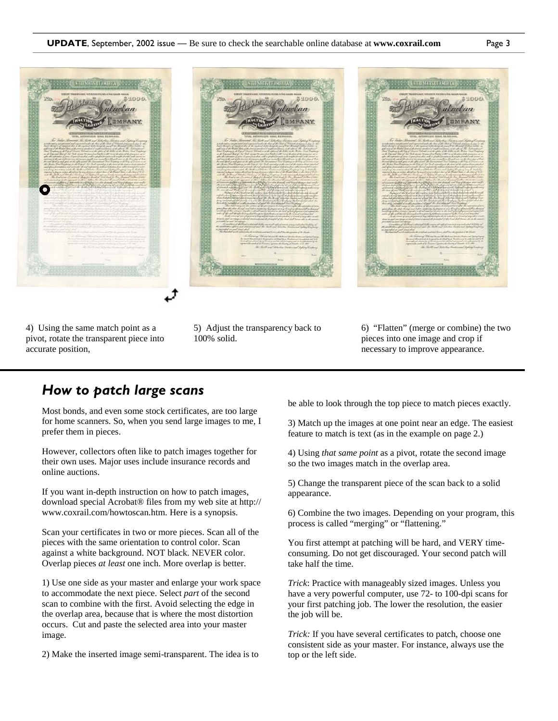

4) Using the same match point as a pivot, rotate the transparent piece into accurate position,

5) Adjust the transparency back to 100% solid.

6) "Flatten" (merge or combine) the two pieces into one image and crop if necessary to improve appearance.

#### *How to patch large scans*

Most bonds, and even some stock certificates, are too large for home scanners. So, when you send large images to me, I prefer them in pieces.

However, collectors often like to patch images together for their own uses. Major uses include insurance records and online auctions.

If you want in-depth instruction on how to patch images, download special Acrobat® files from my web site at http:// www.coxrail.com/howtoscan.htm. Here is a synopsis.

Scan your certificates in two or more pieces. Scan all of the pieces with the same orientation to control color. Scan against a white background. NOT black. NEVER color. Overlap pieces *at least* one inch. More overlap is better.

1) Use one side as your master and enlarge your work space to accommodate the next piece. Select *part* of the second scan to combine with the first. Avoid selecting the edge in the overlap area, because that is where the most distortion occurs. Cut and paste the selected area into your master image.

2) Make the inserted image semi-transparent. The idea is to

be able to look through the top piece to match pieces exactly.

3) Match up the images at one point near an edge. The easiest feature to match is text (as in the example on page 2.)

4) Using *that same point* as a pivot, rotate the second image so the two images match in the overlap area.

5) Change the transparent piece of the scan back to a solid appearance.

6) Combine the two images. Depending on your program, this process is called "merging" or "flattening."

You first attempt at patching will be hard, and VERY timeconsuming. Do not get discouraged. Your second patch will take half the time.

*Trick*: Practice with manageably sized images. Unless you have a very powerful computer, use 72- to 100-dpi scans for your first patching job. The lower the resolution, the easier the job will be.

*Trick:* If you have several certificates to patch, choose one consistent side as your master. For instance, always use the top or the left side.